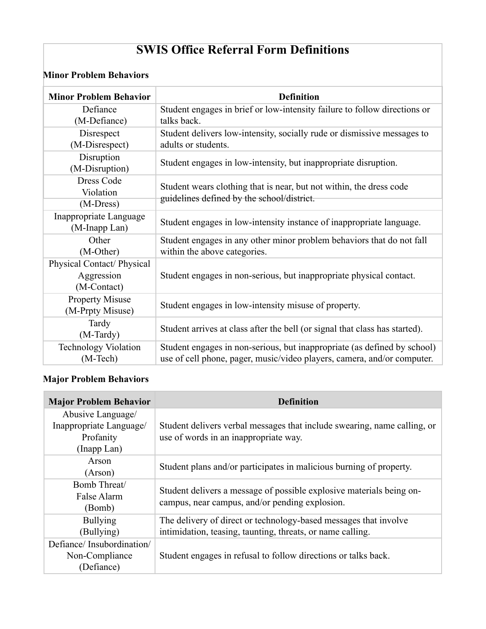# **SWIS Office Referral Form Definitions**

#### **Minor Problem Behaviors**

| <b>Minor Problem Behavior</b> | <b>Definition</b>                                                           |
|-------------------------------|-----------------------------------------------------------------------------|
| Defiance                      | Student engages in brief or low-intensity failure to follow directions or   |
| (M-Defiance)                  | talks back.                                                                 |
| Disrespect                    | Student delivers low-intensity, socially rude or dismissive messages to     |
| (M-Disrespect)                | adults or students.                                                         |
| Disruption                    | Student engages in low-intensity, but inappropriate disruption.             |
| (M-Disruption)                |                                                                             |
| <b>Dress Code</b>             | Student wears clothing that is near, but not within, the dress code         |
| Violation                     | guidelines defined by the school/district.                                  |
| $(M-Dress)$                   |                                                                             |
| Inappropriate Language        | Student engages in low-intensity instance of inappropriate language.        |
| (M-Inapp Lan)                 |                                                                             |
| Other                         | Student engages in any other minor problem behaviors that do not fall       |
| (M-Other)                     | within the above categories.                                                |
| Physical Contact/ Physical    |                                                                             |
| Aggression                    | Student engages in non-serious, but inappropriate physical contact.         |
| (M-Contact)                   |                                                                             |
| <b>Property Misuse</b>        | Student engages in low-intensity misuse of property.                        |
| (M-Prpty Misuse)              |                                                                             |
| Tardy                         | Student arrives at class after the bell (or signal that class has started). |
| (M-Tardy)                     |                                                                             |
| <b>Technology Violation</b>   | Student engages in non-serious, but inappropriate (as defined by school)    |
| (M-Tech)                      | use of cell phone, pager, music/video players, camera, and/or computer.     |

#### **Major Problem Behaviors**

| <b>Major Problem Behavior</b> | <b>Definition</b>                                                        |
|-------------------------------|--------------------------------------------------------------------------|
| Abusive Language/             |                                                                          |
| Inappropriate Language/       | Student delivers verbal messages that include swearing, name calling, or |
| Profanity                     | use of words in an inappropriate way.                                    |
| (Inapp Lan)                   |                                                                          |
| Arson                         | Student plans and/or participates in malicious burning of property.      |
| (Argon)                       |                                                                          |
| Bomb Threat/                  | Student delivers a message of possible explosive materials being on-     |
| False Alarm                   | campus, near campus, and/or pending explosion.                           |
| (Bomb)                        |                                                                          |
| <b>Bullying</b>               | The delivery of direct or technology-based messages that involve         |
| (Bullying)                    | intimidation, teasing, taunting, threats, or name calling.               |
| Defiance/Insubordination/     |                                                                          |
| Non-Compliance                | Student engages in refusal to follow directions or talks back.           |
| (Defiance)                    |                                                                          |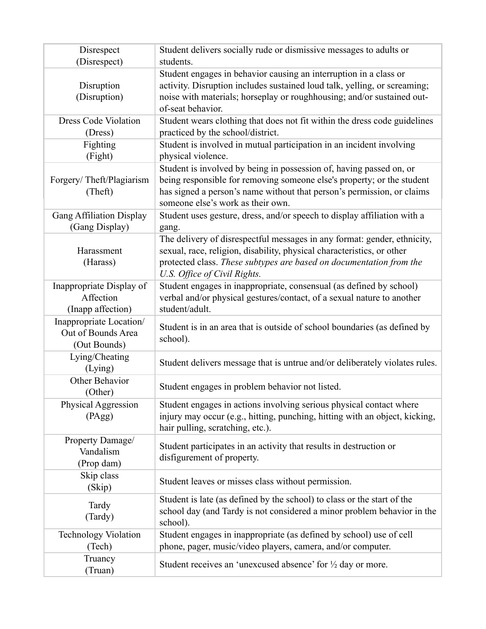| Disrespect<br>(Disrespect)                                    | Student delivers socially rude or dismissive messages to adults or<br>students.                                                                                                                                                                              |
|---------------------------------------------------------------|--------------------------------------------------------------------------------------------------------------------------------------------------------------------------------------------------------------------------------------------------------------|
| Disruption<br>(Disruption)                                    | Student engages in behavior causing an interruption in a class or<br>activity. Disruption includes sustained loud talk, yelling, or screaming;<br>noise with materials; horseplay or roughhousing; and/or sustained out-<br>of-seat behavior.                |
| <b>Dress Code Violation</b><br>(Dress)                        | Student wears clothing that does not fit within the dress code guidelines<br>practiced by the school/district.                                                                                                                                               |
| Fighting<br>(Fight)                                           | Student is involved in mutual participation in an incident involving<br>physical violence.                                                                                                                                                                   |
| Forgery/Theft/Plagiarism<br>(Theft)                           | Student is involved by being in possession of, having passed on, or<br>being responsible for removing someone else's property; or the student<br>has signed a person's name without that person's permission, or claims<br>someone else's work as their own. |
| <b>Gang Affiliation Display</b><br>(Gang Display)             | Student uses gesture, dress, and/or speech to display affiliation with a<br>gang.                                                                                                                                                                            |
| Harassment<br>(Harass)                                        | The delivery of disrespectful messages in any format: gender, ethnicity,<br>sexual, race, religion, disability, physical characteristics, or other<br>protected class. These subtypes are based on documentation from the<br>U.S. Office of Civil Rights.    |
| Inappropriate Display of<br>Affection<br>(Inapp affection)    | Student engages in inappropriate, consensual (as defined by school)<br>verbal and/or physical gestures/contact, of a sexual nature to another<br>student/adult.                                                                                              |
| Inappropriate Location/<br>Out of Bounds Area<br>(Out Bounds) | Student is in an area that is outside of school boundaries (as defined by<br>school).                                                                                                                                                                        |
| Lying/Cheating<br>(Lying)                                     | Student delivers message that is untrue and/or deliberately violates rules.                                                                                                                                                                                  |
| Other Behavior<br>(Other)                                     | Student engages in problem behavior not listed.                                                                                                                                                                                                              |
| Physical Aggression<br>(PAgg)                                 | Student engages in actions involving serious physical contact where<br>injury may occur (e.g., hitting, punching, hitting with an object, kicking,<br>hair pulling, scratching, etc.).                                                                       |
| Property Damage/<br>Vandalism<br>(Prop dam)                   | Student participates in an activity that results in destruction or<br>disfigurement of property.                                                                                                                                                             |
| Skip class<br>(Skip)                                          | Student leaves or misses class without permission.                                                                                                                                                                                                           |
| Tardy<br>(Tardy)                                              | Student is late (as defined by the school) to class or the start of the<br>school day (and Tardy is not considered a minor problem behavior in the<br>school).                                                                                               |
| <b>Technology Violation</b><br>(Tech)                         | Student engages in inappropriate (as defined by school) use of cell<br>phone, pager, music/video players, camera, and/or computer.                                                                                                                           |
| Truancy<br>(Truan)                                            | Student receives an 'unexcused absence' for $\frac{1}{2}$ day or more.                                                                                                                                                                                       |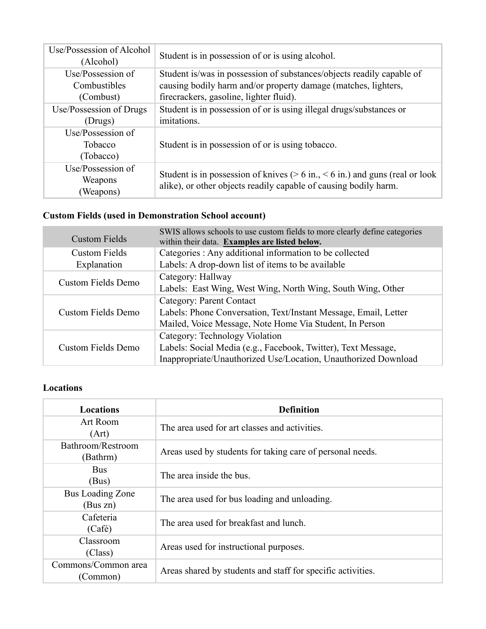| Use/Possession of Alcohol<br>(Alcohol)         | Student is in possession of or is using alcohol.                                                                                                                                   |
|------------------------------------------------|------------------------------------------------------------------------------------------------------------------------------------------------------------------------------------|
| Use/Possession of<br>Combustibles<br>(Combust) | Student is/was in possession of substances/objects readily capable of<br>causing bodily harm and/or property damage (matches, lighters,<br>firecrackers, gasoline, lighter fluid). |
| Use/Possession of Drugs<br>(Drugs)             | Student is in possession of or is using illegal drugs/substances or<br>imitations.                                                                                                 |
| Use/Possession of<br>Tobacco<br>(Tobacco)      | Student is in possession of or is using to bacco.                                                                                                                                  |
| Use/Possession of<br>Weapons<br>(Weapons)      | Student is in possession of knives ( $> 6$ in., $< 6$ in.) and guns (real or look<br>alike), or other objects readily capable of causing bodily harm.                              |

# **Custom Fields (used in Demonstration School account)**

| <b>Custom Fields</b>      | SWIS allows schools to use custom fields to more clearly define categories<br>within their data. Examples are listed below. |
|---------------------------|-----------------------------------------------------------------------------------------------------------------------------|
| <b>Custom Fields</b>      | Categories : Any additional information to be collected                                                                     |
| Explanation               | Labels: A drop-down list of items to be available                                                                           |
| <b>Custom Fields Demo</b> | Category: Hallway                                                                                                           |
|                           | Labels: East Wing, West Wing, North Wing, South Wing, Other                                                                 |
|                           | Category: Parent Contact                                                                                                    |
| Custom Fields Demo        | Labels: Phone Conversation, Text/Instant Message, Email, Letter                                                             |
|                           | Mailed, Voice Message, Note Home Via Student, In Person                                                                     |
| Custom Fields Demo        | Category: Technology Violation                                                                                              |
|                           | Labels: Social Media (e.g., Facebook, Twitter), Text Message,                                                               |
|                           | Inappropriate/Unauthorized Use/Location, Unauthorized Download                                                              |

# **Locations**

| <b>Locations</b>    | <b>Definition</b>                                           |
|---------------------|-------------------------------------------------------------|
| Art Room            | The area used for art classes and activities.               |
| (Art)               |                                                             |
| Bathroom/Restroom   |                                                             |
| (Bathrm)            | Areas used by students for taking care of personal needs.   |
| <b>Bus</b>          | The area inside the bus.                                    |
| (Bus)               |                                                             |
| Bus Loading Zone    |                                                             |
| (Bus zn)            | The area used for bus loading and unloading.                |
| Cafeteria           | The area used for breakfast and lunch.                      |
| (Café)              |                                                             |
| Classroom           | Areas used for instructional purposes.                      |
| (Class)             |                                                             |
| Commons/Common area | Areas shared by students and staff for specific activities. |
| (Common)            |                                                             |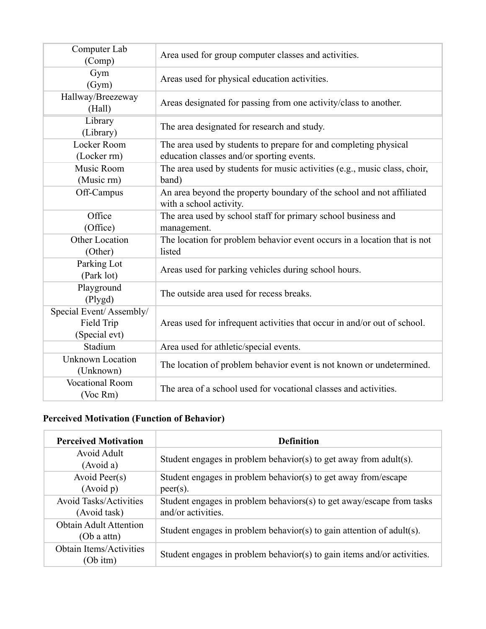| Computer Lab<br>(Comp)                                 | Area used for group computer classes and activities.                                                          |
|--------------------------------------------------------|---------------------------------------------------------------------------------------------------------------|
| Gym<br>(Gym)                                           | Areas used for physical education activities.                                                                 |
| Hallway/Breezeway<br>(Hall)                            | Areas designated for passing from one activity/class to another.                                              |
| Library<br>(Library)                                   | The area designated for research and study.                                                                   |
| Locker Room<br>(Locker rm)                             | The area used by students to prepare for and completing physical<br>education classes and/or sporting events. |
| Music Room<br>(Music rm)                               | The area used by students for music activities (e.g., music class, choir,<br>band)                            |
| Off-Campus                                             | An area beyond the property boundary of the school and not affiliated<br>with a school activity.              |
| Office<br>(Office)                                     | The area used by school staff for primary school business and<br>management.                                  |
| Other Location<br>(Other)                              | The location for problem behavior event occurs in a location that is not<br>listed                            |
| Parking Lot<br>(Park lot)                              | Areas used for parking vehicles during school hours.                                                          |
| Playground<br>(Plygd)                                  | The outside area used for recess breaks.                                                                      |
| Special Event/Assembly/<br>Field Trip<br>(Special evt) | Areas used for infrequent activities that occur in and/or out of school.                                      |
| Stadium                                                | Area used for athletic/special events.                                                                        |
| <b>Unknown Location</b><br>(Unknown)                   | The location of problem behavior event is not known or undetermined.                                          |
| <b>Vocational Room</b><br>(Voc Rm)                     | The area of a school used for vocational classes and activities.                                              |

# **Perceived Motivation (Function of Behavior)**

| <b>Perceived Motivation</b>   | <b>Definition</b>                                                        |
|-------------------------------|--------------------------------------------------------------------------|
| Avoid Adult                   | Student engages in problem behavior(s) to get away from adult(s).        |
| (Avoid a)                     |                                                                          |
| Avoid Peer(s)                 | Student engages in problem behavior(s) to get away from/escape           |
| (Avoid p)                     | $peer(s)$ .                                                              |
| <b>Avoid Tasks/Activities</b> | Student engages in problem behaviors(s) to get away/escape from tasks    |
| (Avoid task)                  | and/or activities.                                                       |
| <b>Obtain Adult Attention</b> | Student engages in problem behavior(s) to gain attention of $adult(s)$ . |
| (Ob a atm)                    |                                                                          |
| Obtain Items/Activities       | Student engages in problem behavior(s) to gain items and/or activities.  |
| (Ob itm)                      |                                                                          |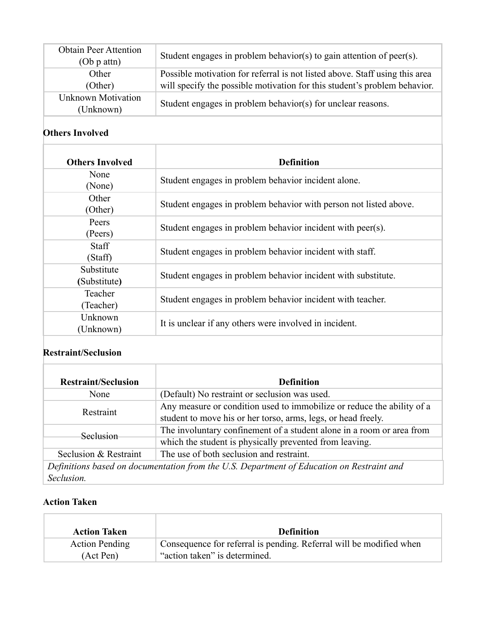| <b>Obtain Peer Attention</b><br>$(Ob p$ attn $)$ | Student engages in problem behavior(s) to gain attention of peer(s).                                                                                     |
|--------------------------------------------------|----------------------------------------------------------------------------------------------------------------------------------------------------------|
| Other<br>(Other)                                 | Possible motivation for referral is not listed above. Staff using this area<br>will specify the possible motivation for this student's problem behavior. |
| <b>Unknown Motivation</b><br>(Unknown)           | Student engages in problem behavior(s) for unclear reasons.                                                                                              |

## **Others Involved**

| <b>Others Involved</b>     | <b>Definition</b>                                                 |
|----------------------------|-------------------------------------------------------------------|
| None<br>(None)             | Student engages in problem behavior incident alone.               |
| Other<br>(Other)           | Student engages in problem behavior with person not listed above. |
| Peers<br>(Peers)           | Student engages in problem behavior incident with peer(s).        |
| <b>Staff</b><br>(Staff)    | Student engages in problem behavior incident with staff.          |
| Substitute<br>(Substitute) | Student engages in problem behavior incident with substitute.     |
| Teacher<br>(Teacher)       | Student engages in problem behavior incident with teacher.        |
| Unknown<br>(Unknown)       | It is unclear if any others were involved in incident.            |

### **Restraint/Seclusion**

| <b>Restraint/Seclusion</b>                                                                | <b>Definition</b>                                                                                                                       |
|-------------------------------------------------------------------------------------------|-----------------------------------------------------------------------------------------------------------------------------------------|
| None                                                                                      | (Default) No restraint or seclusion was used.                                                                                           |
| Restraint                                                                                 | Any measure or condition used to immobilize or reduce the ability of a<br>student to move his or her torso, arms, legs, or head freely. |
| Seclusion                                                                                 | The involuntary confinement of a student alone in a room or area from                                                                   |
|                                                                                           | which the student is physically prevented from leaving.                                                                                 |
| Seclusion & Restraint                                                                     | The use of both seclusion and restraint.                                                                                                |
| Definitions based on documentation from the U.S. Department of Education on Restraint and |                                                                                                                                         |
| Seclusion.                                                                                |                                                                                                                                         |

#### **Action Taken**

| <b>Action Taken</b>   | <b>Definition</b>                                                   |
|-----------------------|---------------------------------------------------------------------|
| <b>Action Pending</b> | Consequence for referral is pending. Referral will be modified when |
| (Act Pen)             | "action taken" is determined.                                       |